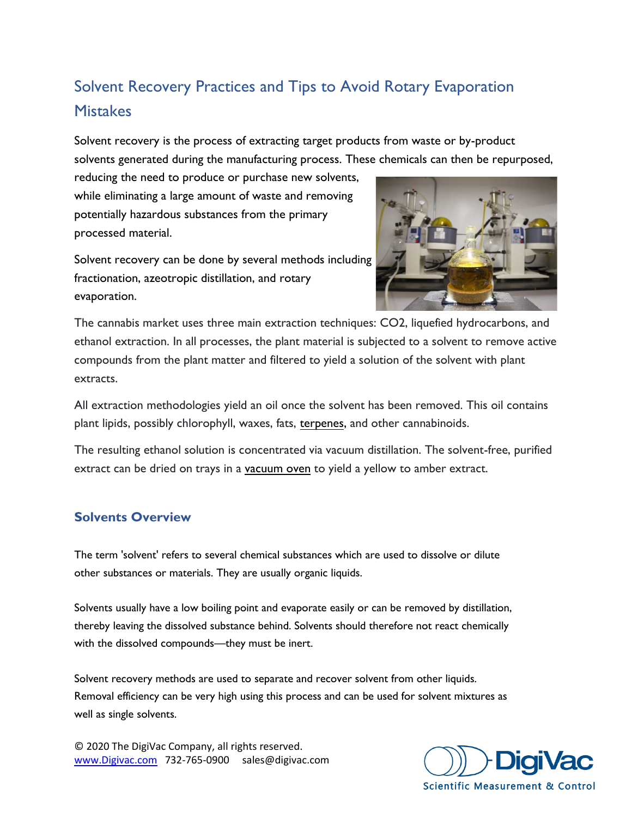# Solvent Recovery Practices and Tips to Avoid Rotary Evaporation **Mistakes**

Solvent recovery is the process of extracting target products from waste or by-product solvents generated during the manufacturing process. These chemicals can then be repurposed,

reducing the need to produce or purchase new solvents, while eliminating a large amount of waste and removing potentially hazardous substances from the primary processed material.

Solvent recovery can be done by several methods including fractionation, azeotropic distillation, and rotary evaporation.



The cannabis market uses three main extraction techniques: CO2, liquefied hydrocarbons, and ethanol extraction. In all processes, the plant material is subjected to a solvent to remove active compounds from the plant matter and filtered to yield a solution of the solvent with plant extracts.

All extraction methodologies yield an oil once the solvent has been removed. This oil contains plant lipids, possibly chlorophyll, waxes, fats, [terpenes,](https://en.wikipedia.org/wiki/Terpene) and other cannabinoids.

The resulting ethanol solution is concentrated via vacuum distillation. The solvent-free, purified extract can be dried on trays in a [vacuum oven](https://www.digivac.com/product-category/vacuum-ovens/) to yield a yellow to amber extract.

# **Solvents Overview**

The term 'solvent' refers to several chemical substances which are used to dissolve or dilute other substances or materials. They are usually organic liquids.

Solvents usually have a low boiling point and evaporate easily or can be removed by distillation, thereby leaving the dissolved substance behind. Solvents should therefore not react chemically with the dissolved compounds—they must be inert.

Solvent recovery methods are used to separate and recover solvent from other liquids. Removal efficiency can be very high using this process and can be used for solvent mixtures as well as single solvents.

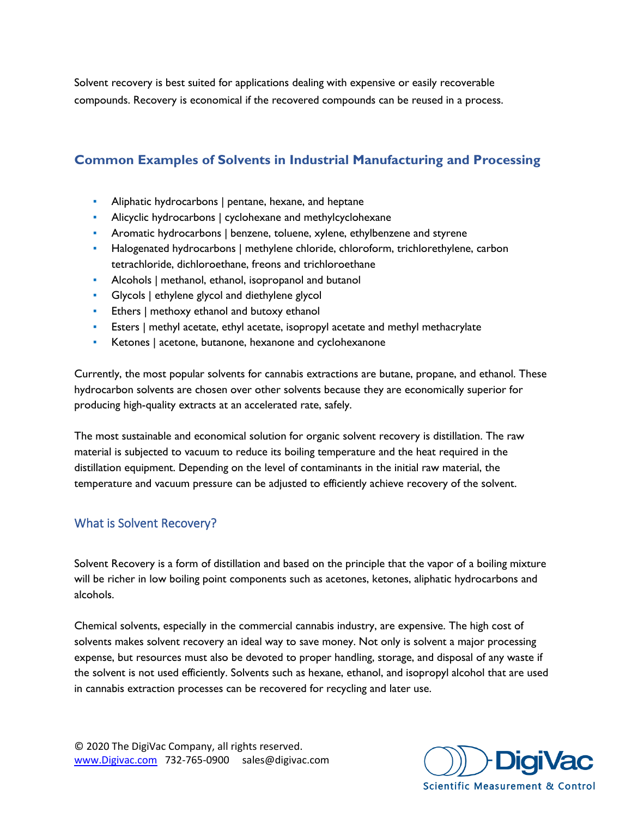Solvent recovery is best suited for applications dealing with expensive or easily recoverable compounds. Recovery is economical if the recovered compounds can be reused in a process.

# **Common Examples of Solvents in Industrial Manufacturing and Processing**

- **•** Aliphatic hydrocarbons | pentane, hexane, and heptane
- Alicyclic hydrocarbons | cyclohexane and methylcyclohexane
- **•** Aromatic hydrocarbons | benzene, toluene, xylene, ethylbenzene and styrene
- **•** Halogenated hydrocarbons | methylene chloride, chloroform, trichlorethylene, carbon tetrachloride, dichloroethane, freons and trichloroethane
- Alcohols | methanol, ethanol, isopropanol and butanol
- **Glycols | ethylene glycol and diethylene glycol**
- **Ethers** | methoxy ethanol and butoxy ethanol
- **Eighthare I methyl acetate, ethyl acetate, isopropyl acetate and methyl methacrylate**
- Ketones | acetone, butanone, hexanone and cyclohexanone

Currently, the most popular solvents for cannabis extractions are butane, propane, and ethanol. These hydrocarbon solvents are chosen over other solvents because they are economically superior for producing high-quality extracts at an accelerated rate, safely.

The most sustainable and economical solution for organic solvent recovery is distillation. The raw material is subjected to vacuum to reduce its boiling temperature and the heat required in the distillation equipment. Depending on the level of contaminants in the initial raw material, the temperature and vacuum pressure can be adjusted to efficiently achieve recovery of the solvent.

# What is Solvent Recovery?

Solvent Recovery is a form of distillation and based on the principle that the vapor of a boiling mixture will be richer in low boiling point components such as acetones, ketones, aliphatic hydrocarbons and alcohols.

Chemical solvents, especially in the commercial cannabis industry, are expensive. The high cost of solvents makes solvent recovery an ideal way to save money. Not only is solvent a major processing expense, but resources must also be devoted to proper handling, storage, and disposal of any waste if the solvent is not used efficiently. Solvents such as hexane, ethanol, and isopropyl alcohol that are used in cannabis extraction processes can be recovered for recycling and later use.

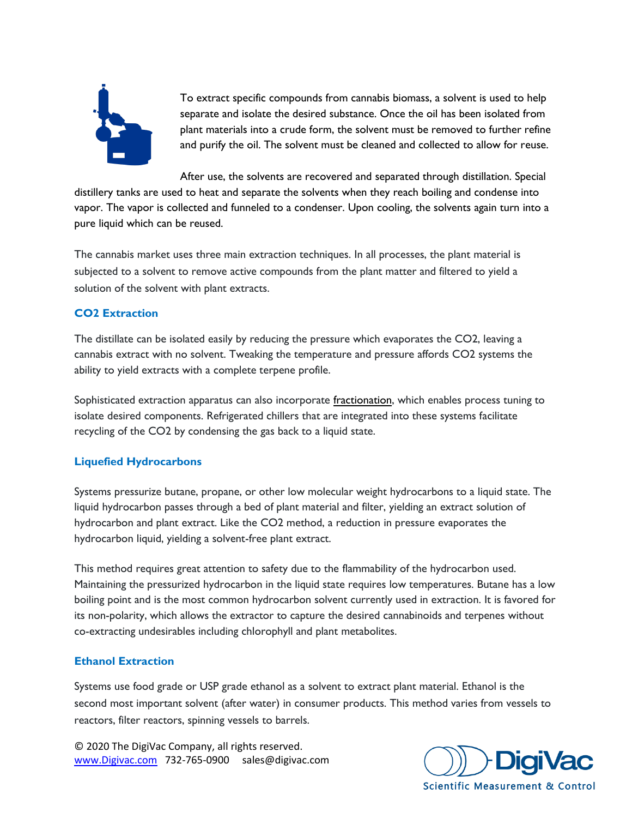

To extract specific compounds from cannabis biomass, a solvent is used to help separate and isolate the desired substance. Once the oil has been isolated from plant materials into a crude form, the solvent must be removed to further refine and purify the oil. The solvent must be cleaned and collected to allow for reuse.

After use, the solvents are recovered and separated through distillation. Special distillery tanks are used to heat and separate the solvents when they reach boiling and condense into vapor. The vapor is collected and funneled to a condenser. Upon cooling, the solvents again turn into a pure liquid which can be reused.

The cannabis market uses three main extraction techniques. In all processes, the plant material is subjected to a solvent to remove active compounds from the plant matter and filtered to yield a solution of the solvent with plant extracts.

#### **CO2 Extraction**

The distillate can be isolated easily by reducing the pressure which evaporates the CO2, leaving a cannabis extract with no solvent. Tweaking the temperature and pressure affords CO2 systems the ability to yield extracts with a complete terpene profile.

Sophisticated extraction apparatus can also incorporate [fractionation,](https://en.wikipedia.org/wiki/Fractionation) which enables process tuning to isolate desired components. Refrigerated chillers that are integrated into these systems facilitate recycling of the CO2 by condensing the gas back to a liquid state.

#### **Liquefied Hydrocarbons**

Systems pressurize butane, propane, or other low molecular weight hydrocarbons to a liquid state. The liquid hydrocarbon passes through a bed of plant material and filter, yielding an extract solution of hydrocarbon and plant extract. Like the CO2 method, a reduction in pressure evaporates the hydrocarbon liquid, yielding a solvent-free plant extract.

This method requires great attention to safety due to the flammability of the hydrocarbon used. Maintaining the pressurized hydrocarbon in the liquid state requires low temperatures. Butane has a low boiling point and is the most common hydrocarbon solvent currently used in extraction. It is favored for its non-polarity, which allows the extractor to capture the desired cannabinoids and terpenes without co-extracting undesirables including chlorophyll and plant metabolites.

### **Ethanol Extraction**

Systems use food grade or USP grade ethanol as a solvent to extract plant material. Ethanol is the second most important solvent (after water) in consumer products. This method varies from vessels to reactors, filter reactors, spinning vessels to barrels.

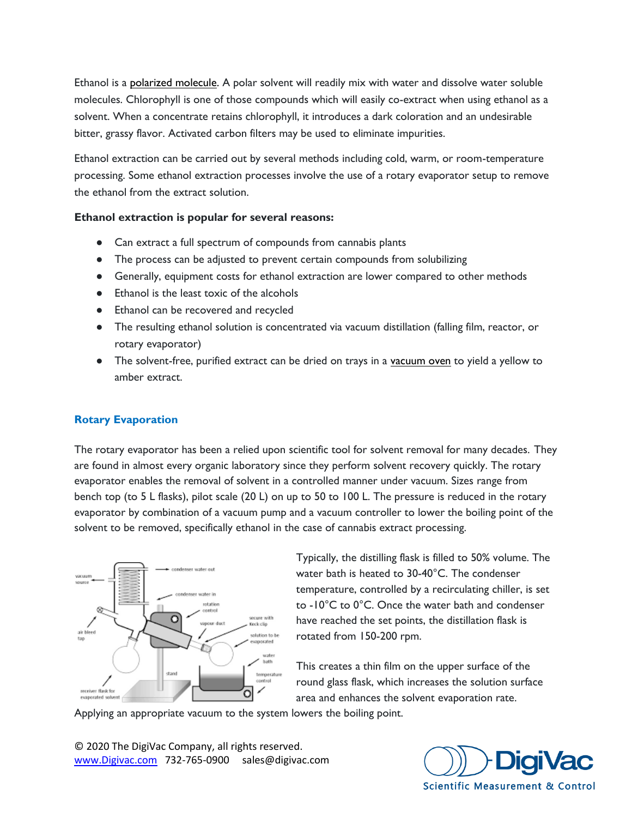Ethanol is a [polarized molecule.](https://easychem.com.au/production-of-materials/renewable-ethanol/ethanol-as-a-solvent/) A polar solvent will readily mix with water and dissolve water soluble molecules. Chlorophyll is one of those compounds which will easily co-extract when using ethanol as a solvent. When a concentrate retains chlorophyll, it introduces a dark coloration and an undesirable bitter, grassy flavor. Activated carbon filters may be used to eliminate impurities.

Ethanol extraction can be carried out by several methods including cold, warm, or room-temperature processing. Some ethanol extraction processes involve the use of a rotary evaporator setup to remove the ethanol from the extract solution.

#### **Ethanol extraction is popular for several reasons:**

- Can extract a full spectrum of compounds from cannabis plants
- The process can be adjusted to prevent certain compounds from solubilizing
- Generally, equipment costs for ethanol extraction are lower compared to other methods
- Ethanol is the least toxic of the alcohols
- Ethanol can be recovered and recycled
- The resulting ethanol solution is concentrated via vacuum distillation (falling film, reactor, or rotary evaporator)
- The solvent-free, purified extract can be dried on trays in a [vacuum oven](https://www.digivac.com/product-category/vacuum-ovens/) to yield a yellow to amber extract.

#### **Rotary Evaporation**

The rotary evaporator has been a relied upon scientific tool for solvent removal for many decades. They are found in almost every organic laboratory since they perform solvent recovery quickly. The rotary evaporator enables the removal of solvent in a controlled manner under vacuum. Sizes range from bench top (to 5 L flasks), pilot scale (20 L) on up to 50 to 100 L. The pressure is reduced in the rotary evaporator by combination of a vacuum pump and a vacuum controller to lower the boiling point of the solvent to be removed, specifically ethanol in the case of cannabis extract processing.



Typically, the distilling flask is filled to 50% volume. The water bath is heated to 30-40°C. The condenser temperature, controlled by a recirculating chiller, is set to -10°C to 0°C. Once the water bath and condenser have reached the set points, the distillation flask is rotated from 150-200 rpm.

This creates a thin film on the upper surface of the round glass flask, which increases the solution surface area and enhances the solvent evaporation rate.

Applying an appropriate vacuum to the system lowers the boiling point.

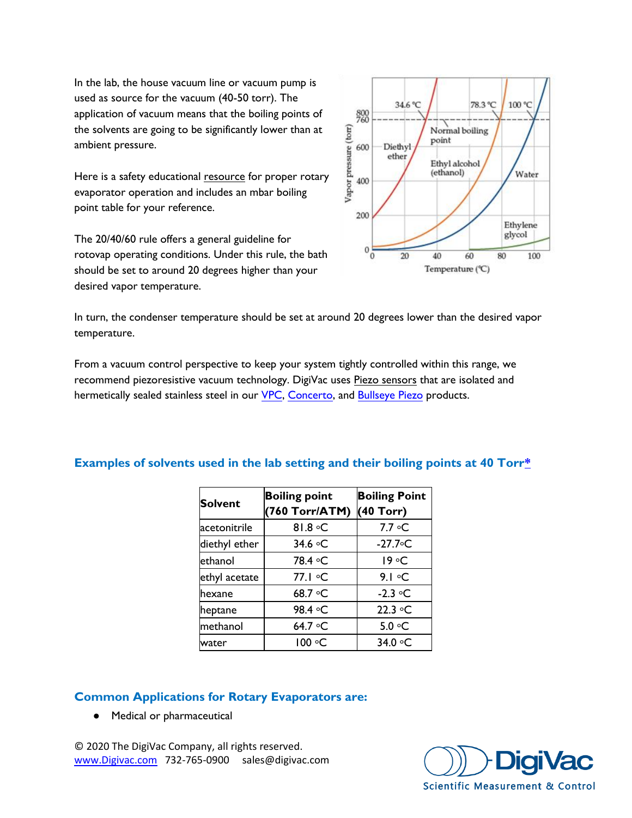In the lab, the house vacuum line or vacuum pump is used as source for the vacuum (40-50 torr). The application of vacuum means that the boiling points of the solvents are going to be significantly lower than at ambient pressure.

Here is a safety educational [resource](http://ppsa.umt.edu.my/wp-content/uploads/sites/10/2018/08/32-Chapter-4-5.0-Rotary-Evavaporator.pdf) for proper rotary evaporator operation and includes an mbar boiling point table for your reference.

The 20/40/60 rule offers a general guideline for rotovap operating conditions. Under this rule, the bath should be set to around 20 degrees higher than your desired vapor temperature.



In turn, the condenser temperature should be set at around 20 degrees lower than the desired vapor temperature.

From a vacuum control perspective to keep your system tightly controlled within this range, we recommend piezoresistive vacuum technology. DigiVac uses [Piezo sensors](https://www.digivac.com/product/isolated-piezo-sensor-1-to-775-torr-vacuum-sensor-npt/) that are isolated and hermetically sealed stainless steel in our [VPC,](https://www.digivac.com/product/vapor-pressure-controller-vpc_vacuum-regulator/) [Concerto,](https://www.digivac.com/product/concerto-rotary-evaporator-controller-vacuum-controller/) and [Bullseye Piezo](https://www.digivac.com/product/bullseye-piezo-775i-rough-vacuum-gauge-ul-csa-ce-certified/) products.

| <b>Solvent</b> | <b>Boiling point</b><br>(760 Torr/ATM) | <b>Boiling Point</b><br>(40 Torr) |
|----------------|----------------------------------------|-----------------------------------|
| acetonitrile   | 81.8 °C                                | 7.7 ∘C                            |
| diethyl ether  | 34.6 °C                                | $-27.7$ °C                        |
| ethanol        | 78.4 °C                                | 19 °C                             |
| ethyl acetate  | 77.1 °C                                | $9.1 \circ C$                     |
| lhexane        | 68.7 $\circ$ C                         | $-2.3$ $\circ$ C                  |
| heptane        | 98.4 °C                                | $22.3 \text{ °C}$                 |
| methanol       | 64.7 °C                                | 5.0 °C                            |
| water          | 100 ∘C                                 | 34.0 °C                           |

### **Examples of solvents used in the lab setting and their boiling points at 40 Tor[r\\*](http://www.chem.ucla.edu/~bacher/Specialtopics/rotavap.html)**

### **Common Applications for Rotary Evaporators are:**

● Medical or pharmaceutical

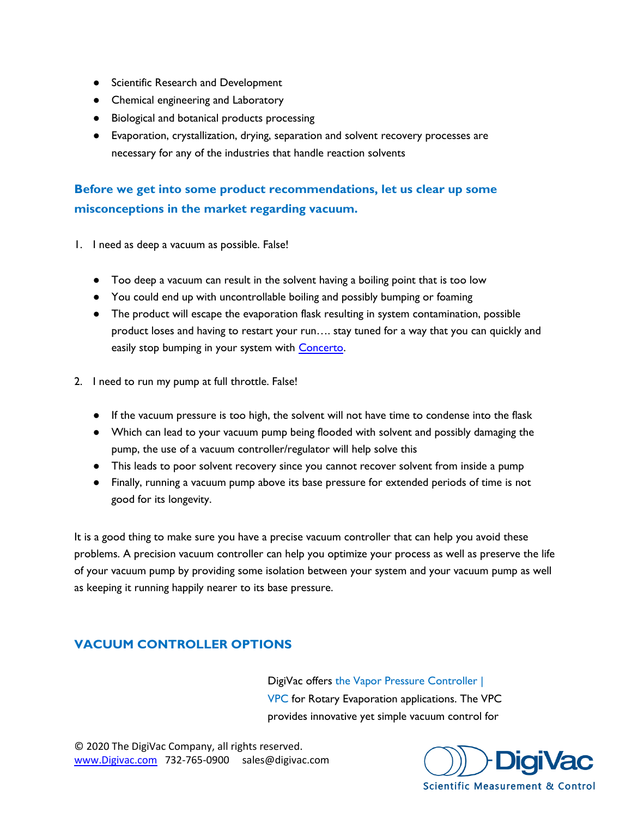- Scientific Research and Development
- Chemical engineering and Laboratory
- Biological and botanical products processing
- Evaporation, crystallization, drying, separation and solvent recovery processes are necessary for any of the industries that handle reaction solvents

# **Before we get into some product recommendations, let us clear up some misconceptions in the market regarding vacuum.**

- 1. I need as deep a vacuum as possible. False!
	- Too deep a vacuum can result in the solvent having a boiling point that is too low
	- You could end up with uncontrollable boiling and possibly bumping or foaming
	- The product will escape the evaporation flask resulting in system contamination, possible product loses and having to restart your run…. stay tuned for a way that you can quickly and easily stop bumping in your system with [Concerto.](https://www.digivac.com/product/concerto-rotary-evaporator-controller-vacuum-controller/)
- 2. I need to run my pump at full throttle. False!
	- If the vacuum pressure is too high, the solvent will not have time to condense into the flask
	- Which can lead to your vacuum pump being flooded with solvent and possibly damaging the pump, the use of a vacuum controller/regulator will help solve this
	- This leads to poor solvent recovery since you cannot recover solvent from inside a pump
	- Finally, running a vacuum pump above its base pressure for extended periods of time is not good for its longevity.

It is a good thing to make sure you have a precise vacuum controller that can help you avoid these problems. A precision vacuum controller can help you optimize your process as well as preserve the life of your vacuum pump by providing some isolation between your system and your vacuum pump as well as keeping it running happily nearer to its base pressure.

# **VACUUM CONTROLLER OPTIONS**

DigiVac offers [the Vapor Pressure Controller |](https://www.digivac.com/product/vapor-pressure-controller-vpc/)  [VPC f](https://www.digivac.com/product/vapor-pressure-controller-vpc/)or Rotary Evaporation applications. The VPC provides innovative yet simple vacuum control for

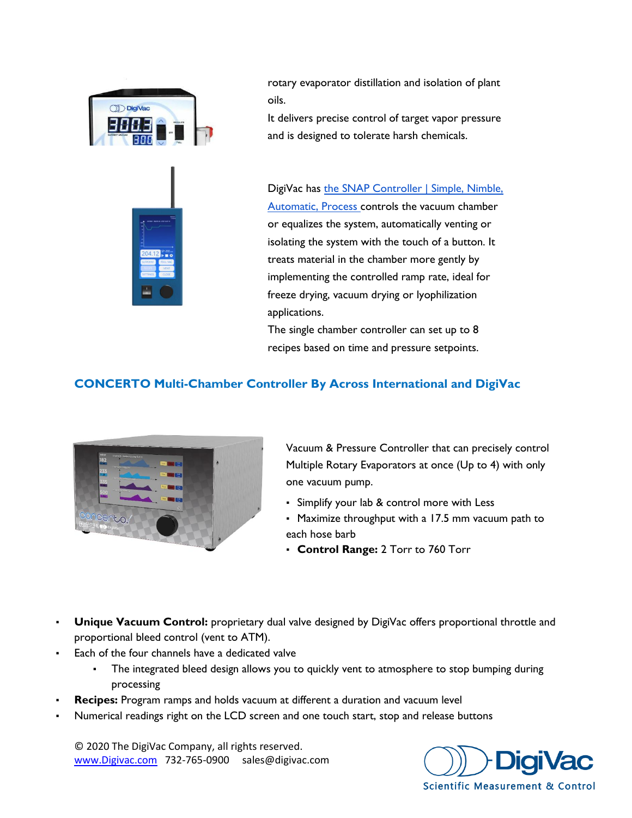

rotary evaporator distillation and isolation of plant oils.

It delivers precise control of target vapor pressure and is designed to tolerate harsh chemicals.

DigiVac has [the SNAP Controller | Simple, Nimble,](https://www.digivac.com/product/snap-vacuum-controller/)  [Automatic, Process c](https://www.digivac.com/product/snap-vacuum-controller/)ontrols the vacuum chamber or equalizes the system, automatically venting or isolating the system with the touch of a button. It treats material in the chamber more gently by implementing the controlled ramp rate, ideal for freeze drying, vacuum drying or lyophilization applications.

The single chamber controller can set up to 8 recipes based on time and pressure setpoints.

# **CONCERTO Multi-Chamber Controller By Across International and DigiVac**



Vacuum & Pressure Controller that can precisely control Multiple Rotary Evaporators at once (Up to 4) with only one vacuum pump.

- Simplify your lab & control more with Less
- . Maximize throughput with a 17.5 mm vacuum path to each hose barb
- **Control Range:** 2 Torr to 760 Torr
- **Unique Vacuum Control:** proprietary dual valve designed by DigiVac offers proportional throttle and proportional bleed control (vent to ATM).
- Each of the four channels have a dedicated valve
	- The integrated bleed design allows you to quickly vent to atmosphere to stop bumping during processing
- **Recipes:** Program ramps and holds vacuum at different a duration and vacuum level
- Numerical readings right on the LCD screen and one touch start, stop and release buttons

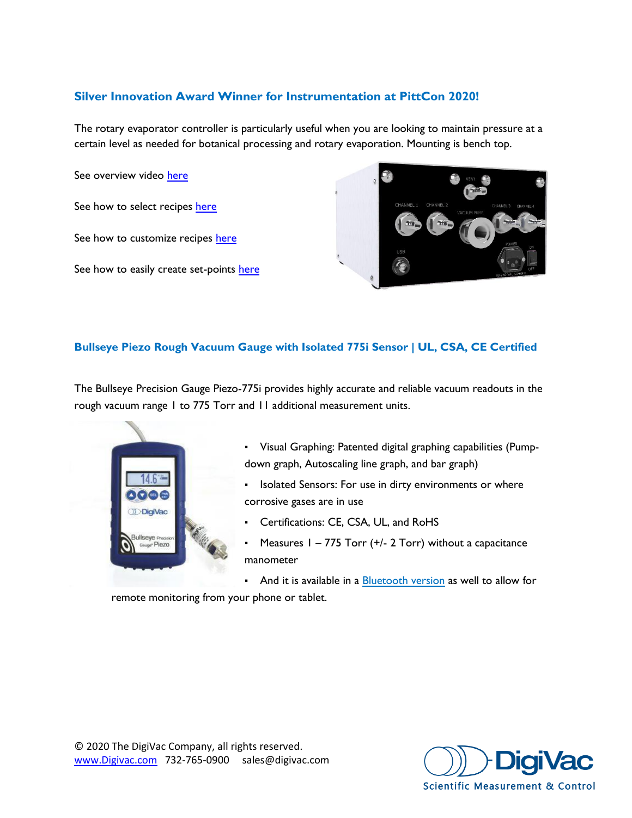# **Silver Innovation Award Winner for Instrumentation at PittCon 2020!**

The rotary evaporator controller is particularly useful when you are looking to maintain pressure at a certain level as needed for botanical processing and rotary evaporation. Mounting is bench top.

See overview video [here](https://youtu.be/XafUjgqTmrs)

See how to select recipes [here](https://youtu.be/deVfvGGl-c8)

See how to customize recipes [here](https://youtu.be/_V6s8rWegwk)

See how to easily create set-points [here](https://youtu.be/e7nDlP7YxEo)



### **Bullseye Piezo Rough Vacuum Gauge with Isolated 775i Sensor | UL, CSA, CE Certified**

The Bullseye Precision Gauge Piezo-775i provides highly accurate and reliable vacuum readouts in the rough vacuum range 1 to 775 Torr and 11 additional measurement units.



- Visual Graphing: Patented digital graphing capabilities (Pumpdown graph, Autoscaling line graph, and bar graph)
- Isolated Sensors: For use in dirty environments or where corrosive gases are in use
- Certifications: CE, CSA, UL, and RoHS
- Measures  $1 775$  Torr (+/- 2 Torr) without a capacitance manometer

**• And it is available in a [Bluetooth version](https://www.digivac.com/product/bluetooth-bullseye-precision-gauge-piezo/) as well to allow for** 

remote monitoring from your phone or tablet.